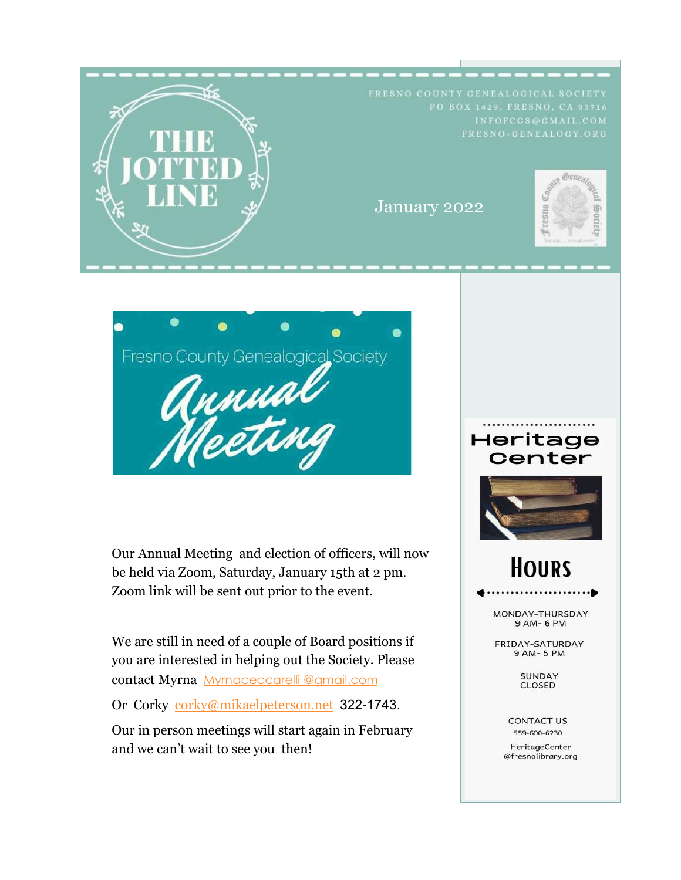



Our Annual Meeting and election of officers, will now be held via Zoom, Saturday, January 15th at 2 pm. Zoom link will be sent out prior to the event.

We are still in need of a couple of Board positions if you are interested in helping out the Society. Please contact Myrna [Myrnaceccarelli @gmail.com](mailto:Myrnaceccarelli@gmail.com)

Or Corky [corky@mikaelpeterson.net](mailto:corky@mikaelpeterson.net) 322-1743.

Our in person meetings will start again in February and we can't wait to see you then!

## Heritage Center



# **HOURS**

MONDAY-THURSDAY 9 AM- 6 PM

FRIDAY-SATURDAY 9 AM-5 PM

> **SUNDAY** CLOSED

**CONTACT US** 559-600-6230

HeritageCenter @fresnolibrary.org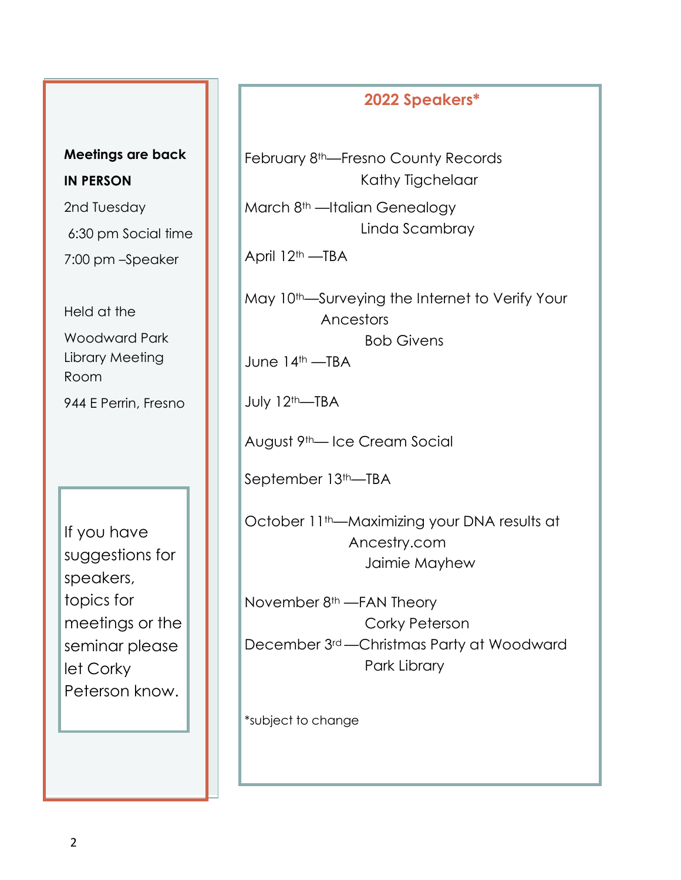#### **2022 Speakers\***

February 8th—Fresno County Records Kathy Tigchelaar

March 8<sup>th</sup> —Italian Genealogy Linda Scambray

April 12th —TBA

May 10<sup>th</sup>—Surveying the Internet to Verify Your Ancestors Bob Givens

June 14<sup>th</sup> —TBA

July 12th—TBA

August 9th— Ice Cream Social

September 13<sup>th</sup>—TBA

October 11<sup>th</sup>—Maximizing your DNA results at Ancestry.com Jaimie Mayhew

November  $8<sup>th</sup>$  --FAN Theory Corky Peterson December 3rd —Christmas Party at Woodward Park Library

\*subject to change

**Meetings are back IN PERSON**

2nd Tuesday 6:30 pm Social time 7:00 pm –Speaker

Held at the Woodward Park Library Meeting Room

944 E Perrin, Fresno

If you have suggestions for speakers, topics for meetings or the seminar please let Corky Peterson know.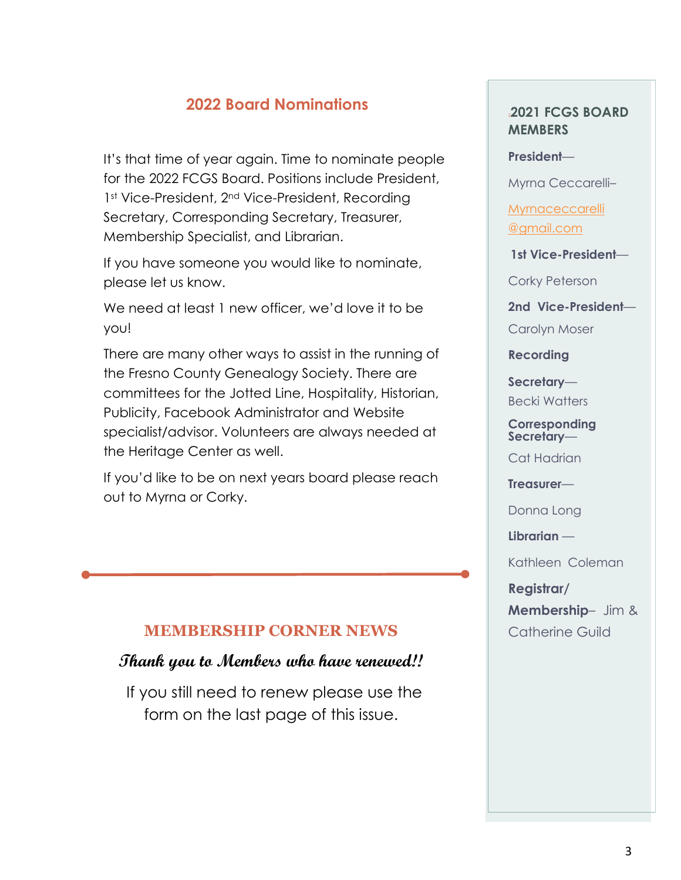### **2022 Board Nominations**

It's that time of year again. Time to nominate people for the 2022 FCGS Board. Positions include President, 1st Vice-President, 2<sup>nd</sup> Vice-President, Recording Secretary, Corresponding Secretary, Treasurer, Membership Specialist, and Librarian.

If you have someone you would like to nominate, please let us know.

We need at least 1 new officer, we'd love it to be you!

There are many other ways to assist in the running of the Fresno County Genealogy Society. There are committees for the Jotted Line, Hospitality, Historian, Publicity, Facebook Administrator and Website specialist/advisor. Volunteers are always needed at the Heritage Center as well.

If you'd like to be on next years board please reach out to Myrna or Corky.

#### **MEMBERSHIP CORNER NEWS**

#### **Thank you to Members who have renewed!!**

If you still need to renew please use the form on the last page of this issue.

#### <sup>2</sup>**2021 FCGS BOARD MEMBERS**

**President**—

Myrna Ceccarelli–

**Myrnaceccarelli** [@gmail.com](mailto:Myrnaceccarelli@gmail.com)

**1st Vice-President**—

Corky Peterson

**2nd Vice-President**—

Carolyn Moser

**Recording** 

**Secretary**—

Becki Watters

**Corresponding Secretary**—

Cat Hadrian

**Treasurer**—

Donna Long

**Librarian** —

Kathleen Coleman

**Registrar/**

**Membership**– Jim & Catherine Guild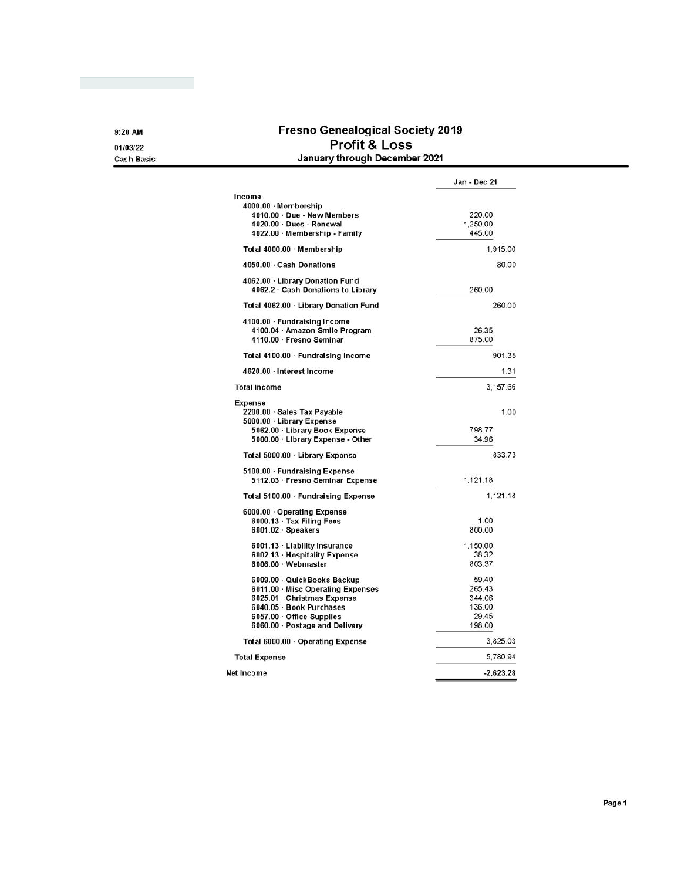#### **Fresno Genealogical Society 2019** Profit & Loss January through December 2021

|                                                                       | Jan - Dec 21 |  |
|-----------------------------------------------------------------------|--------------|--|
| Income                                                                |              |  |
| 4000.00 · Membership                                                  |              |  |
| 4010.00 Due - New Members                                             | 220.00       |  |
| 4020.00 Dues - Renewal                                                | 1.250.00     |  |
| 4022.00 · Membership - Family                                         | 445.00       |  |
| Total 4000.00 · Membership                                            | 1,915.00     |  |
| 4050.00 Cash Donations                                                | 80.00        |  |
| 4062.00 · Library Donation Fund<br>4062.2 · Cash Donations to Library | 260.00       |  |
| Total 4062.00 · Library Donation Fund                                 | 260.00       |  |
| 4100.00 · Fundraising Income                                          |              |  |
| 4100.04 Amazon Smile Program                                          | 26.35        |  |
| 4110.00 · Fresno Seminar                                              | 875.00       |  |
| Total 4100.00 · Fundraising Income                                    | 901.35       |  |
| 4620.00 · Interest Income                                             | 1.31         |  |
| <b>Total Income</b>                                                   | 3,157.66     |  |
| <b>Expense</b>                                                        |              |  |
| 2200.00 · Sales Tax Payable                                           | 1.00         |  |
| 5000.00 · Library Expense                                             |              |  |
| 5062.00 Library Book Expense                                          | 798.77       |  |
| 5000.00 · Library Expense - Other                                     | 34.96        |  |
| Total 5000.00 · Library Expense                                       | 833.73       |  |
| 5100.00 · Fundraising Expense                                         |              |  |
| 5112.03 · Fresno Seminar Expense                                      | 1,121.18     |  |
| Total 5100.00 · Fundraising Expense                                   | 1,121.18     |  |
| 6000.00 Operating Expense                                             |              |  |
| 6000.13 Tax Filing Fees                                               | 1.00         |  |
| 6001.02 · Speakers                                                    | 800.00       |  |
| 6001.13 Liability Insurance                                           | 1.150.00     |  |
| 6002.13 · Hospitality Expense                                         | 38.32        |  |
| 6006.00 · Webmaster                                                   | 803.37       |  |
| 6009.00 QuickBooks Backup                                             | 59.40        |  |
| 6011.00 Misc Operating Expenses                                       | 265.43       |  |
| 6025.01 Christmas Expense                                             | 344.06       |  |
| 6040.05 · Book Purchases                                              | 136.00       |  |
| 6057.00 Office Supplies                                               | 29.45        |  |
| 6060.00 · Postage and Delivery                                        | 198.00       |  |
| Total 6000.00 · Operating Expense                                     | 3.825.03     |  |
| <b>Total Expense</b>                                                  | 5,780.94     |  |
| Net Income                                                            | $-2,623.28$  |  |

9:20 AM

01/03/22 **Cash Basis**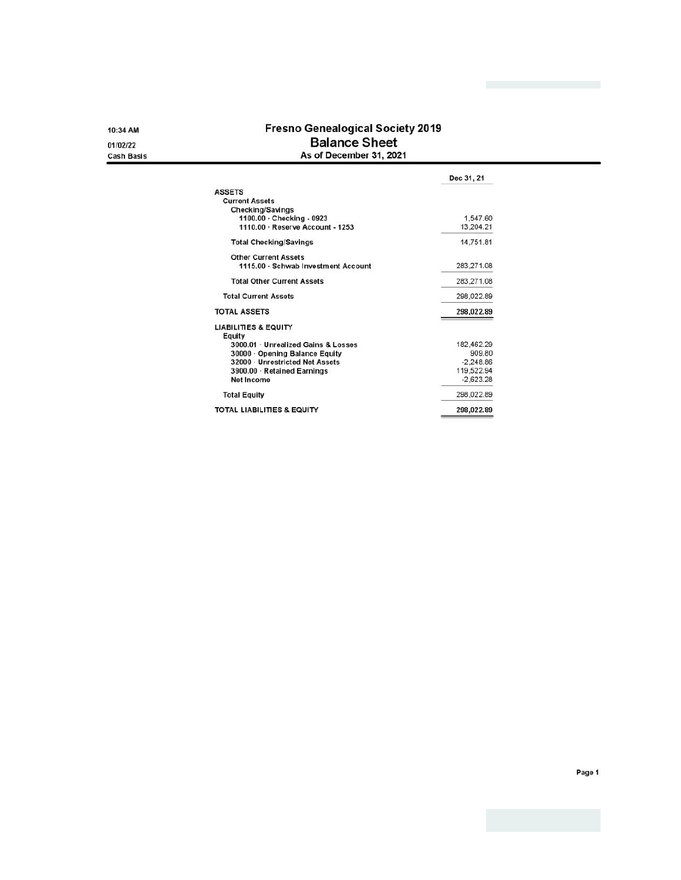10:34 AM 01/02/22

**Cash Basis** 

**Fresno Genealogical Society 2019 Balance Sheet** As of December 31, 2021

|                                       | Dec 31, 21  |
|---------------------------------------|-------------|
| <b>ASSETS</b>                         |             |
| <b>Current Assets</b>                 |             |
| Checking/Savings                      |             |
| 1100.00 · Checking - 0923             | 1.547.60    |
| 1110.00 · Reserve Account - 1253      | 13,204.21   |
| <b>Total Checking/Savings</b>         | 14,751.81   |
| <b>Other Current Assets</b>           |             |
| 1115.00 Schwab Investment Account     | 283,271.08  |
| <b>Total Other Current Assets</b>     | 283.271.08  |
| <b>Total Current Assets</b>           | 298,022.89  |
| <b>TOTAL ASSETS</b>                   | 298,022.89  |
| <b>LIABILITIES &amp; EQUITY</b>       |             |
| Equity                                |             |
| 3000.01 · Unrealized Gains & Losses   | 182,462.29  |
| 30000 · Opening Balance Equity        | 909.80      |
| 32000 · Unrestricted Net Assets       | $-2.248.86$ |
| 3900.00 · Retained Earnings           | 119,522.94  |
| Net Income                            | $-2.623.28$ |
| <b>Total Equity</b>                   | 298,022.89  |
| <b>TOTAL LIABILITIES &amp; EQUITY</b> | 298,022.89  |

Page 1